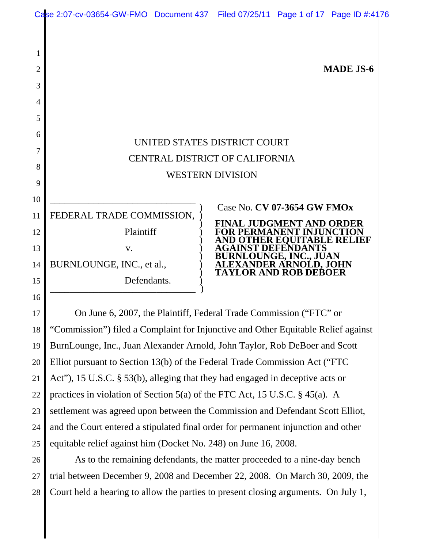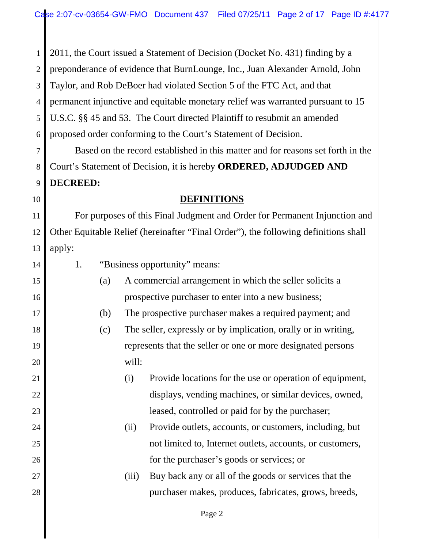1 2 3 4 5 6 7 8 9 10 11 12 13 14 15 16 17 18 19 20 21 22 23 24 25 26 27 28 2011, the Court issued a Statement of Decision (Docket No. 431) finding by a preponderance of evidence that BurnLounge, Inc., Juan Alexander Arnold, John Taylor, and Rob DeBoer had violated Section 5 of the FTC Act, and that permanent injunctive and equitable monetary relief was warranted pursuant to 15 U.S.C. §§ 45 and 53. The Court directed Plaintiff to resubmit an amended proposed order conforming to the Court's Statement of Decision. Based on the record established in this matter and for reasons set forth in the Court's Statement of Decision, it is hereby **ORDERED, ADJUDGED AND DECREED: DEFINITIONS** For purposes of this Final Judgment and Order for Permanent Injunction and Other Equitable Relief (hereinafter "Final Order"), the following definitions shall apply: 1. "Business opportunity" means: (a) A commercial arrangement in which the seller solicits a prospective purchaser to enter into a new business; (b) The prospective purchaser makes a required payment; and (c) The seller, expressly or by implication, orally or in writing, represents that the seller or one or more designated persons will: (i) Provide locations for the use or operation of equipment, displays, vending machines, or similar devices, owned, leased, controlled or paid for by the purchaser; (ii) Provide outlets, accounts, or customers, including, but not limited to, Internet outlets, accounts, or customers, for the purchaser's goods or services; or (iii) Buy back any or all of the goods or services that the purchaser makes, produces, fabricates, grows, breeds,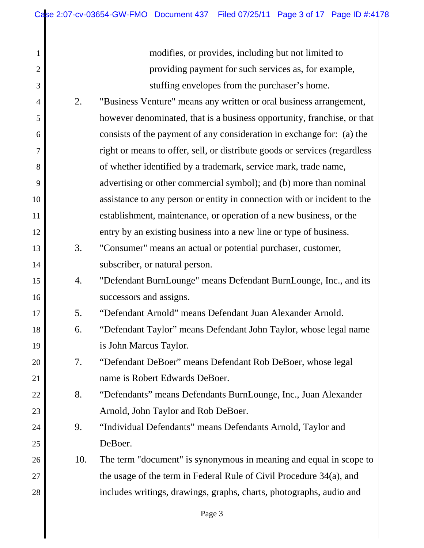2

3

13

14

15

16

17

18

19

20

21

22

23

24

25

modifies, or provides, including but not limited to providing payment for such services as, for example, stuffing envelopes from the purchaser's home.

- 4 5 6 7 8 9 10 11 12 2. "Business Venture" means any written or oral business arrangement, however denominated, that is a business opportunity, franchise, or that consists of the payment of any consideration in exchange for: (a) the right or means to offer, sell, or distribute goods or services (regardless of whether identified by a trademark, service mark, trade name, advertising or other commercial symbol); and (b) more than nominal assistance to any person or entity in connection with or incident to the establishment, maintenance, or operation of a new business, or the entry by an existing business into a new line or type of business.
	- 3. "Consumer" means an actual or potential purchaser, customer, subscriber, or natural person.
	- 4. "Defendant BurnLounge" means Defendant BurnLounge, Inc., and its successors and assigns.
		- 5. "Defendant Arnold" means Defendant Juan Alexander Arnold.
	- 6. "Defendant Taylor" means Defendant John Taylor, whose legal name is John Marcus Taylor.
	- 7. "Defendant DeBoer" means Defendant Rob DeBoer, whose legal name is Robert Edwards DeBoer.
	- 8. "Defendants" means Defendants BurnLounge, Inc., Juan Alexander Arnold, John Taylor and Rob DeBoer.
	- 9. "Individual Defendants" means Defendants Arnold, Taylor and DeBoer.
- 26 27 28 10. The term "document" is synonymous in meaning and equal in scope to the usage of the term in Federal Rule of Civil Procedure 34(a), and includes writings, drawings, graphs, charts, photographs, audio and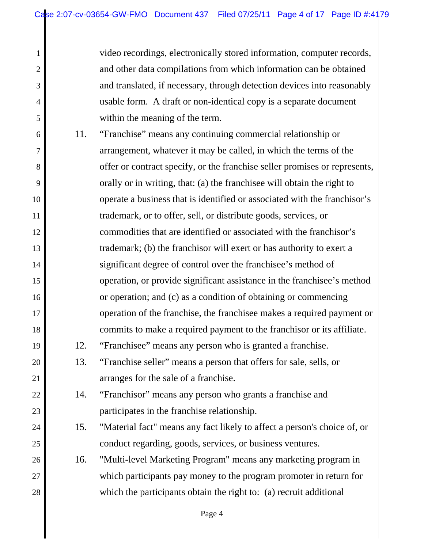2

3

4

5

19

20

21

22

23

24

25

video recordings, electronically stored information, computer records, and other data compilations from which information can be obtained and translated, if necessary, through detection devices into reasonably usable form. A draft or non-identical copy is a separate document within the meaning of the term.

- 6 7 8 9 10 11 12 13 14 15 16 17 18 11. "Franchise" means any continuing commercial relationship or arrangement, whatever it may be called, in which the terms of the offer or contract specify, or the franchise seller promises or represents, orally or in writing, that: (a) the franchisee will obtain the right to operate a business that is identified or associated with the franchisor's trademark, or to offer, sell, or distribute goods, services, or commodities that are identified or associated with the franchisor's trademark; (b) the franchisor will exert or has authority to exert a significant degree of control over the franchisee's method of operation, or provide significant assistance in the franchisee's method or operation; and (c) as a condition of obtaining or commencing operation of the franchise, the franchisee makes a required payment or commits to make a required payment to the franchisor or its affiliate.
	- 12. "Franchisee" means any person who is granted a franchise.
	- 13. "Franchise seller" means a person that offers for sale, sells, or arranges for the sale of a franchise.
		- 14. "Franchisor" means any person who grants a franchise and participates in the franchise relationship.
	- 15. "Material fact" means any fact likely to affect a person's choice of, or conduct regarding, goods, services, or business ventures.
- 26 27 28 16. "Multi-level Marketing Program" means any marketing program in which participants pay money to the program promoter in return for which the participants obtain the right to: (a) recruit additional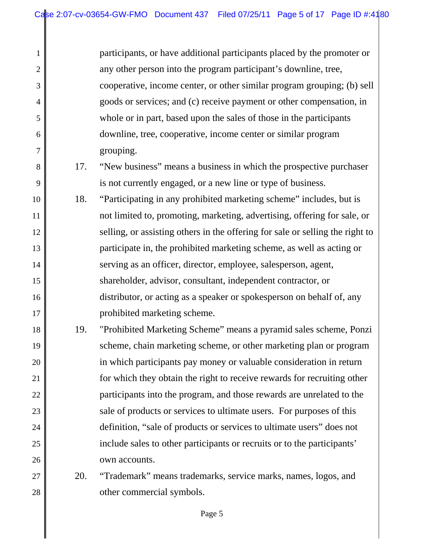2

3

4

5

6

7

8

9

10

11

12

14

16

17

participants, or have additional participants placed by the promoter or any other person into the program participant's downline, tree, cooperative, income center, or other similar program grouping; (b) sell goods or services; and (c) receive payment or other compensation, in whole or in part, based upon the sales of those in the participants downline, tree, cooperative, income center or similar program grouping.

- 17. "New business" means a business in which the prospective purchaser is not currently engaged, or a new line or type of business.
- 13 15 18. "Participating in any prohibited marketing scheme" includes, but is not limited to, promoting, marketing, advertising, offering for sale, or selling, or assisting others in the offering for sale or selling the right to participate in, the prohibited marketing scheme, as well as acting or serving as an officer, director, employee, salesperson, agent, shareholder, advisor, consultant, independent contractor, or distributor, or acting as a speaker or spokesperson on behalf of, any prohibited marketing scheme.
- 18 19 20 21 22 23 24 25 26 19. "Prohibited Marketing Scheme" means a pyramid sales scheme, Ponzi scheme, chain marketing scheme, or other marketing plan or program in which participants pay money or valuable consideration in return for which they obtain the right to receive rewards for recruiting other participants into the program, and those rewards are unrelated to the sale of products or services to ultimate users. For purposes of this definition, "sale of products or services to ultimate users" does not include sales to other participants or recruits or to the participants' own accounts.

27 28 20. "Trademark" means trademarks, service marks, names, logos, and other commercial symbols.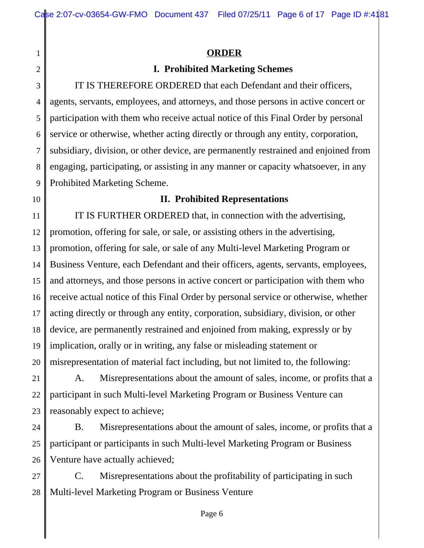## **ORDER**

# **I. Prohibited Marketing Schemes**

3 4 5 6 7 8 9 IT IS THEREFORE ORDERED that each Defendant and their officers, agents, servants, employees, and attorneys, and those persons in active concert or participation with them who receive actual notice of this Final Order by personal service or otherwise, whether acting directly or through any entity, corporation, subsidiary, division, or other device, are permanently restrained and enjoined from engaging, participating, or assisting in any manner or capacity whatsoever, in any Prohibited Marketing Scheme.

10

1

2

# **II. Prohibited Representations**

11 12 13 14 15 16 17 18 19 20 IT IS FURTHER ORDERED that, in connection with the advertising, promotion, offering for sale, or sale, or assisting others in the advertising, promotion, offering for sale, or sale of any Multi-level Marketing Program or Business Venture, each Defendant and their officers, agents, servants, employees, and attorneys, and those persons in active concert or participation with them who receive actual notice of this Final Order by personal service or otherwise, whether acting directly or through any entity, corporation, subsidiary, division, or other device, are permanently restrained and enjoined from making, expressly or by implication, orally or in writing, any false or misleading statement or misrepresentation of material fact including, but not limited to, the following:

21 22 23 A. Misrepresentations about the amount of sales, income, or profits that a participant in such Multi-level Marketing Program or Business Venture can reasonably expect to achieve;

24 25 26 B. Misrepresentations about the amount of sales, income, or profits that a participant or participants in such Multi-level Marketing Program or Business Venture have actually achieved;

27 28 C. Misrepresentations about the profitability of participating in such Multi-level Marketing Program or Business Venture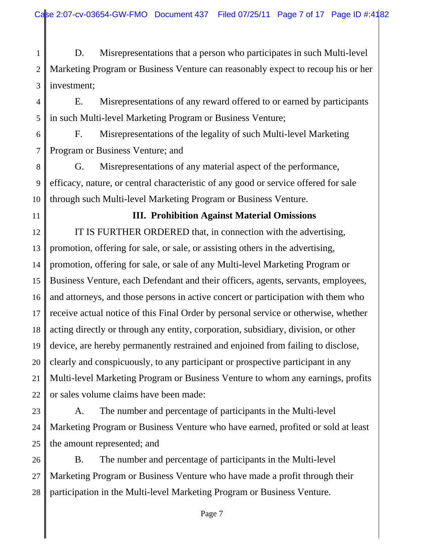1 2 3 D. Misrepresentations that a person who participates in such Multi-level Marketing Program or Business Venture can reasonably expect to recoup his or her investment;

4 5 E. Misrepresentations of any reward offered to or earned by participants in such Multi-level Marketing Program or Business Venture;

6 7 F. Misrepresentations of the legality of such Multi-level Marketing Program or Business Venture; and

8 9 10 G. Misrepresentations of any material aspect of the performance, efficacy, nature, or central characteristic of any good or service offered for sale through such Multi-level Marketing Program or Business Venture.

11

# **III. Prohibition Against Material Omissions**

12 13 14 15 16 17 18 19 20 21 22 IT IS FURTHER ORDERED that, in connection with the advertising, promotion, offering for sale, or sale, or assisting others in the advertising, promotion, offering for sale, or sale of any Multi-level Marketing Program or Business Venture, each Defendant and their officers, agents, servants, employees, and attorneys, and those persons in active concert or participation with them who receive actual notice of this Final Order by personal service or otherwise, whether acting directly or through any entity, corporation, subsidiary, division, or other device, are hereby permanently restrained and enjoined from failing to disclose, clearly and conspicuously, to any participant or prospective participant in any Multi-level Marketing Program or Business Venture to whom any earnings, profits or sales volume claims have been made:

23 24 25 A. The number and percentage of participants in the Multi-level Marketing Program or Business Venture who have earned, profited or sold at least the amount represented; and

26 27 28 B. The number and percentage of participants in the Multi-level Marketing Program or Business Venture who have made a profit through their participation in the Multi-level Marketing Program or Business Venture.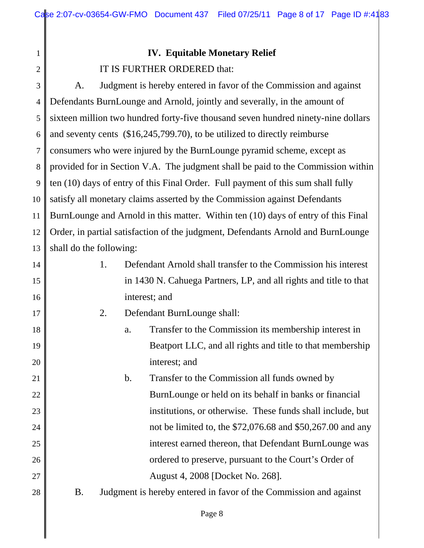# **IV. Equitable Monetary Relief** IT IS FURTHER ORDERED that:

3 4 5 6 7 8 9 10 11 12 13 A. Judgment is hereby entered in favor of the Commission and against Defendants BurnLounge and Arnold, jointly and severally, in the amount of sixteen million two hundred forty-five thousand seven hundred ninety-nine dollars and seventy cents (\$16,245,799.70), to be utilized to directly reimburse consumers who were injured by the BurnLounge pyramid scheme, except as provided for in Section V.A. The judgment shall be paid to the Commission within ten (10) days of entry of this Final Order. Full payment of this sum shall fully satisfy all monetary claims asserted by the Commission against Defendants BurnLounge and Arnold in this matter. Within ten (10) days of entry of this Final Order, in partial satisfaction of the judgment, Defendants Arnold and BurnLounge shall do the following:

| 14 | 1.        |    | Defendant Arnold shall transfer to the Commission his interest    |
|----|-----------|----|-------------------------------------------------------------------|
| 15 |           |    | in 1430 N. Cahuega Partners, LP, and all rights and title to that |
| 16 |           |    | interest; and                                                     |
| 17 | 2.        |    | Defendant BurnLounge shall:                                       |
| 18 |           | a. | Transfer to the Commission its membership interest in             |
| 19 |           |    | Beatport LLC, and all rights and title to that membership         |
| 20 |           |    | interest; and                                                     |
| 21 |           | b. | Transfer to the Commission all funds owned by                     |
| 22 |           |    | BurnLounge or held on its behalf in banks or financial            |
| 23 |           |    | institutions, or otherwise. These funds shall include, but        |
| 24 |           |    | not be limited to, the \$72,076.68 and \$50,267.00 and any        |
| 25 |           |    | interest earned thereon, that Defendant BurnLounge was            |
| 26 |           |    | ordered to preserve, pursuant to the Court's Order of             |
| 27 |           |    | August 4, 2008 [Docket No. 268].                                  |
| 28 | <b>B.</b> |    | Judgment is hereby entered in favor of the Commission and against |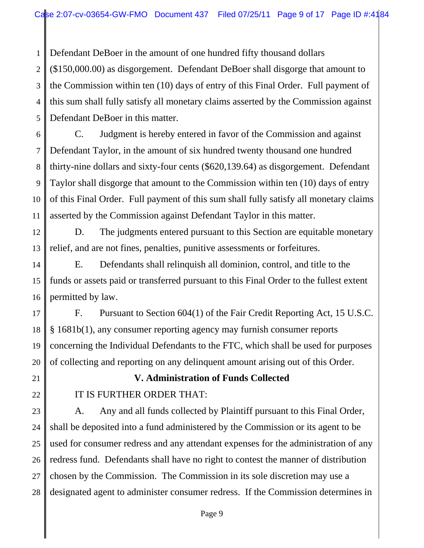1 Defendant DeBoer in the amount of one hundred fifty thousand dollars

2 3 4 5 (\$150,000.00) as disgorgement. Defendant DeBoer shall disgorge that amount to the Commission within ten (10) days of entry of this Final Order. Full payment of this sum shall fully satisfy all monetary claims asserted by the Commission against Defendant DeBoer in this matter.

6 7 8 9 10 11 C. Judgment is hereby entered in favor of the Commission and against Defendant Taylor, in the amount of six hundred twenty thousand one hundred thirty-nine dollars and sixty-four cents (\$620,139.64) as disgorgement. Defendant Taylor shall disgorge that amount to the Commission within ten (10) days of entry of this Final Order. Full payment of this sum shall fully satisfy all monetary claims asserted by the Commission against Defendant Taylor in this matter.

12 13 D. The judgments entered pursuant to this Section are equitable monetary relief, and are not fines, penalties, punitive assessments or forfeitures.

14 15 16 E. Defendants shall relinquish all dominion, control, and title to the funds or assets paid or transferred pursuant to this Final Order to the fullest extent permitted by law.

17 18 19 20 F. Pursuant to Section 604(1) of the Fair Credit Reporting Act, 15 U.S.C. § 1681b(1), any consumer reporting agency may furnish consumer reports concerning the Individual Defendants to the FTC, which shall be used for purposes of collecting and reporting on any delinquent amount arising out of this Order.

21

22

# **V. Administration of Funds Collected**

## IT IS FURTHER ORDER THAT:

23 24 25 26 27 28 A. Any and all funds collected by Plaintiff pursuant to this Final Order, shall be deposited into a fund administered by the Commission or its agent to be used for consumer redress and any attendant expenses for the administration of any redress fund. Defendants shall have no right to contest the manner of distribution chosen by the Commission. The Commission in its sole discretion may use a designated agent to administer consumer redress. If the Commission determines in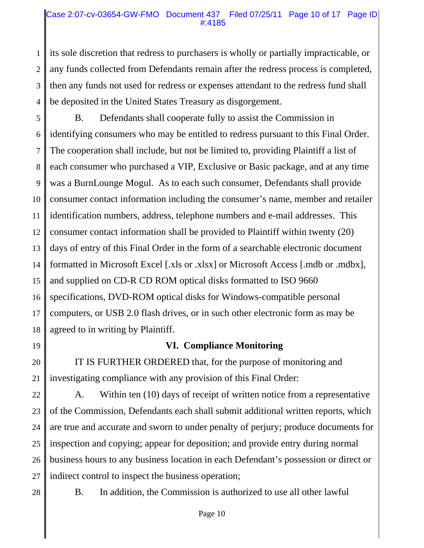### Case 2:07-cv-03654-GW-FMO Document 437 Filed 07/25/11 Page 10 of 17 Page ID #:4185

1 2 3 4 its sole discretion that redress to purchasers is wholly or partially impracticable, or any funds collected from Defendants remain after the redress process is completed, then any funds not used for redress or expenses attendant to the redress fund shall be deposited in the United States Treasury as disgorgement.

5 6 7 8 9 10 11 12 13 14 15 16 17 18 B. Defendants shall cooperate fully to assist the Commission in identifying consumers who may be entitled to redress pursuant to this Final Order. The cooperation shall include, but not be limited to, providing Plaintiff a list of each consumer who purchased a VIP, Exclusive or Basic package, and at any time was a BurnLounge Mogul. As to each such consumer, Defendants shall provide consumer contact information including the consumer's name, member and retailer identification numbers, address, telephone numbers and e-mail addresses. This consumer contact information shall be provided to Plaintiff within twenty (20) days of entry of this Final Order in the form of a searchable electronic document formatted in Microsoft Excel [.xls or .xlsx] or Microsoft Access [.mdb or .mdbx], and supplied on CD-R CD ROM optical disks formatted to ISO 9660 specifications, DVD-ROM optical disks for Windows-compatible personal computers, or USB 2.0 flash drives, or in such other electronic form as may be agreed to in writing by Plaintiff.

19

**VI. Compliance Monitoring**

20 21 IT IS FURTHER ORDERED that, for the purpose of monitoring and investigating compliance with any provision of this Final Order:

22 23 24 25 26 27 A. Within ten (10) days of receipt of written notice from a representative of the Commission, Defendants each shall submit additional written reports, which are true and accurate and sworn to under penalty of perjury; produce documents for inspection and copying; appear for deposition; and provide entry during normal business hours to any business location in each Defendant's possession or direct or indirect control to inspect the business operation;

28

B. In addition, the Commission is authorized to use all other lawful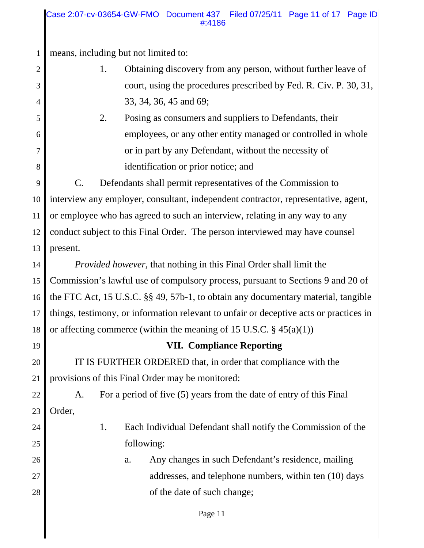#### Case 2:07-cv-03654-GW-FMO Document 437 Filed 07/25/11 Page 11 of 17 Page ID #:4186

1 means, including but not limited to:

- 1. Obtaining discovery from any person, without further leave of court, using the procedures prescribed by Fed. R. Civ. P. 30, 31, 33, 34, 36, 45 and 69;
	- 2. Posing as consumers and suppliers to Defendants, their employees, or any other entity managed or controlled in whole or in part by any Defendant, without the necessity of identification or prior notice; and

9 10 11 12 13 C. Defendants shall permit representatives of the Commission to interview any employer, consultant, independent contractor, representative, agent, or employee who has agreed to such an interview, relating in any way to any conduct subject to this Final Order. The person interviewed may have counsel present.

14 15 16 17 18 *Provided however,* that nothing in this Final Order shall limit the Commission's lawful use of compulsory process, pursuant to Sections 9 and 20 of the FTC Act, 15 U.S.C. §§ 49, 57b-1, to obtain any documentary material, tangible things, testimony, or information relevant to unfair or deceptive acts or practices in or affecting commerce (within the meaning of 15 U.S.C.  $\S$  45(a)(1))

19

2

3

4

5

6

7

8

# **VII. Compliance Reporting**

20 21 IT IS FURTHER ORDERED that, in order that compliance with the provisions of this Final Order may be monitored:

22 23 A. For a period of five (5) years from the date of entry of this Final Order,

24

25

- 1. Each Individual Defendant shall notify the Commission of the following:
- 26 27 28 a. Any changes in such Defendant's residence, mailing addresses, and telephone numbers, within ten (10) days of the date of such change;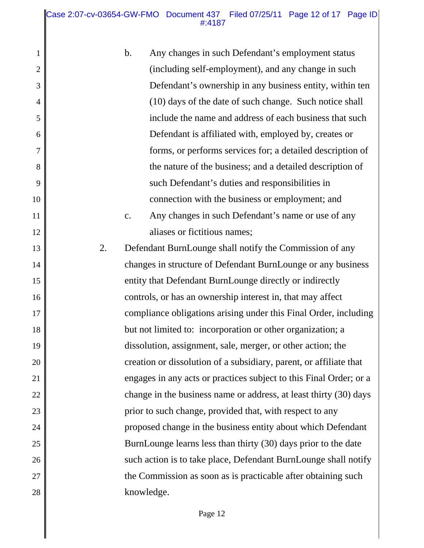Case 2:07-cv-03654-GW-FMO Document 437 Filed 07/25/11 Page 12 of 17 Page ID #:4187

1

2

3

4

5

6

7

8

9

10

11

12

13

14

15

16

17

18

19

20

21

22

23

24

25

26

27

28

b. Any changes in such Defendant's employment status (including self-employment), and any change in such Defendant's ownership in any business entity, within ten (10) days of the date of such change. Such notice shall include the name and address of each business that such Defendant is affiliated with, employed by, creates or forms, or performs services for; a detailed description of the nature of the business; and a detailed description of such Defendant's duties and responsibilities in connection with the business or employment; and c. Any changes in such Defendant's name or use of any aliases or fictitious names; 2. Defendant BurnLounge shall notify the Commission of any changes in structure of Defendant BurnLounge or any business entity that Defendant BurnLounge directly or indirectly controls, or has an ownership interest in, that may affect compliance obligations arising under this Final Order, including but not limited to: incorporation or other organization; a dissolution, assignment, sale, merger, or other action; the creation or dissolution of a subsidiary, parent, or affiliate that engages in any acts or practices subject to this Final Order; or a change in the business name or address, at least thirty (30) days prior to such change, provided that, with respect to any

proposed change in the business entity about which Defendant BurnLounge learns less than thirty (30) days prior to the date such action is to take place, Defendant BurnLounge shall notify the Commission as soon as is practicable after obtaining such knowledge.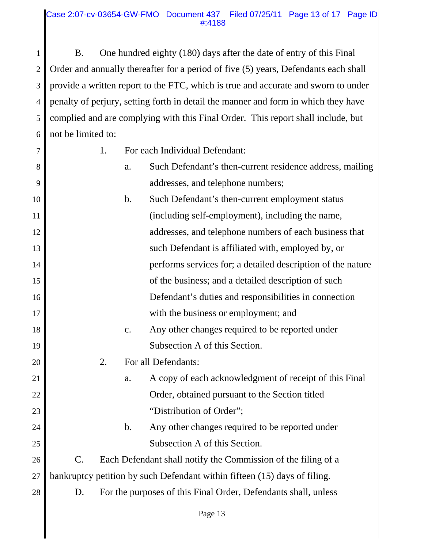1 2 3 4 5 6 B. One hundred eighty (180) days after the date of entry of this Final Order and annually thereafter for a period of five (5) years, Defendants each shall provide a written report to the FTC, which is true and accurate and sworn to under penalty of perjury, setting forth in detail the manner and form in which they have complied and are complying with this Final Order. This report shall include, but not be limited to:

7 8

9

21

22

23

24

25

- 1. For each Individual Defendant:
- a. Such Defendant's then-current residence address, mailing addresses, and telephone numbers;
- 10 11 12 13 14 15 16 17 18 19 20 b. Such Defendant's then-current employment status (including self-employment), including the name, addresses, and telephone numbers of each business that such Defendant is affiliated with, employed by, or performs services for; a detailed description of the nature of the business; and a detailed description of such Defendant's duties and responsibilities in connection with the business or employment; and c. Any other changes required to be reported under Subsection A of this Section. 2. For all Defendants:
	- a. A copy of each acknowledgment of receipt of this Final Order, obtained pursuant to the Section titled "Distribution of Order";
		- b. Any other changes required to be reported under Subsection A of this Section.

26 27 C. Each Defendant shall notify the Commission of the filing of a bankruptcy petition by such Defendant within fifteen (15) days of filing.

28 D. For the purposes of this Final Order, Defendants shall, unless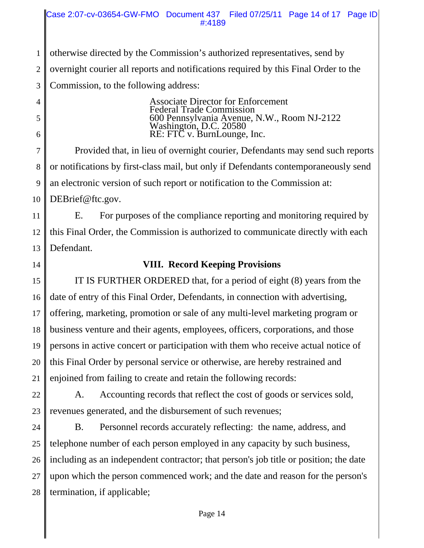Case 2:07-cv-03654-GW-FMO Document 437 Filed 07/25/11 Page 14 of 17 Page ID #:4189

1 2 3 otherwise directed by the Commission's authorized representatives, send by overnight courier all reports and notifications required by this Final Order to the Commission, to the following address:

5

6

4

Associate Director for Enforcement Federal Trade Commission 600 Pennsylvania Avenue, N.W., Room NJ-2122 Washington, D.C. 20580 RE: FTC v. BurnLounge, Inc.

7 8 9 10 Provided that, in lieu of overnight courier, Defendants may send such reports or notifications by first-class mail, but only if Defendants contemporaneously send an electronic version of such report or notification to the Commission at: DEBrief@ftc.gov.

11 12 13 E. For purposes of the compliance reporting and monitoring required by this Final Order, the Commission is authorized to communicate directly with each Defendant.

14

## **VIII. Record Keeping Provisions**

15 16 17 18 19 20 21 IT IS FURTHER ORDERED that, for a period of eight (8) years from the date of entry of this Final Order, Defendants, in connection with advertising, offering, marketing, promotion or sale of any multi-level marketing program or business venture and their agents, employees, officers, corporations, and those persons in active concert or participation with them who receive actual notice of this Final Order by personal service or otherwise, are hereby restrained and enjoined from failing to create and retain the following records:

22 23 A. Accounting records that reflect the cost of goods or services sold, revenues generated, and the disbursement of such revenues;

24 25 26 27 28 B. Personnel records accurately reflecting: the name, address, and telephone number of each person employed in any capacity by such business, including as an independent contractor; that person's job title or position; the date upon which the person commenced work; and the date and reason for the person's termination, if applicable;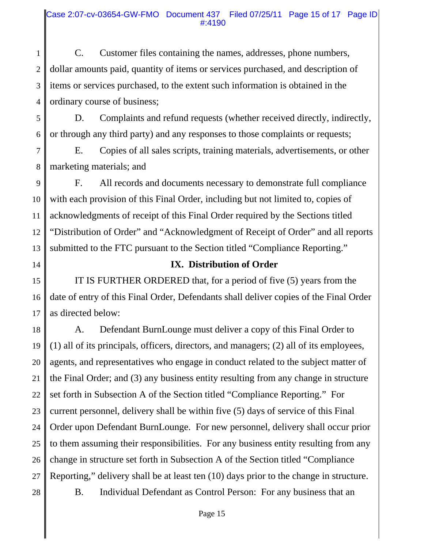1 2 3 4 C. Customer files containing the names, addresses, phone numbers, dollar amounts paid, quantity of items or services purchased, and description of items or services purchased, to the extent such information is obtained in the ordinary course of business;

5 6 D. Complaints and refund requests (whether received directly, indirectly, or through any third party) and any responses to those complaints or requests;

7 8 E. Copies of all sales scripts, training materials, advertisements, or other marketing materials; and

9 10 11 12 13 F. All records and documents necessary to demonstrate full compliance with each provision of this Final Order, including but not limited to, copies of acknowledgments of receipt of this Final Order required by the Sections titled "Distribution of Order" and "Acknowledgment of Receipt of Order" and all reports submitted to the FTC pursuant to the Section titled "Compliance Reporting."

14

# **IX. Distribution of Order**

15 16 17 IT IS FURTHER ORDERED that, for a period of five (5) years from the date of entry of this Final Order, Defendants shall deliver copies of the Final Order as directed below:

18 19 20 21 22 23 24 25 26 27 28 A. Defendant BurnLounge must deliver a copy of this Final Order to (1) all of its principals, officers, directors, and managers; (2) all of its employees, agents, and representatives who engage in conduct related to the subject matter of the Final Order; and (3) any business entity resulting from any change in structure set forth in Subsection A of the Section titled "Compliance Reporting." For current personnel, delivery shall be within five (5) days of service of this Final Order upon Defendant BurnLounge. For new personnel, delivery shall occur prior to them assuming their responsibilities. For any business entity resulting from any change in structure set forth in Subsection A of the Section titled "Compliance Reporting," delivery shall be at least ten (10) days prior to the change in structure. B. Individual Defendant as Control Person: For any business that an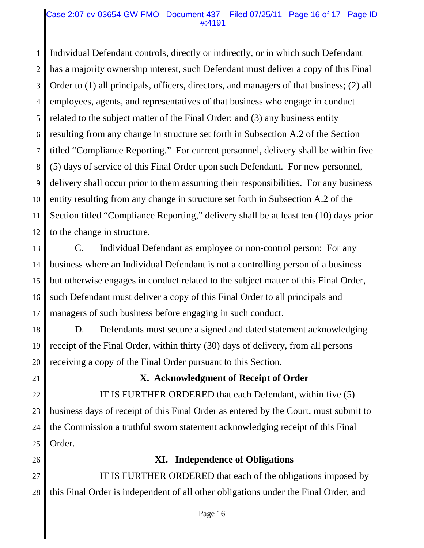#### Case 2:07-cv-03654-GW-FMO Document 437 Filed 07/25/11 Page 16 of 17 Page ID #:4191

1 2 3 4 5 6 7 8 9 10 11 12 Individual Defendant controls, directly or indirectly, or in which such Defendant has a majority ownership interest, such Defendant must deliver a copy of this Final Order to (1) all principals, officers, directors, and managers of that business; (2) all employees, agents, and representatives of that business who engage in conduct related to the subject matter of the Final Order; and (3) any business entity resulting from any change in structure set forth in Subsection A.2 of the Section titled "Compliance Reporting." For current personnel, delivery shall be within five (5) days of service of this Final Order upon such Defendant. For new personnel, delivery shall occur prior to them assuming their responsibilities. For any business entity resulting from any change in structure set forth in Subsection A.2 of the Section titled "Compliance Reporting," delivery shall be at least ten (10) days prior to the change in structure.

13 14 15 16 17 C. Individual Defendant as employee or non-control person: For any business where an Individual Defendant is not a controlling person of a business but otherwise engages in conduct related to the subject matter of this Final Order, such Defendant must deliver a copy of this Final Order to all principals and managers of such business before engaging in such conduct.

18 19 20 D. Defendants must secure a signed and dated statement acknowledging receipt of the Final Order, within thirty (30) days of delivery, from all persons receiving a copy of the Final Order pursuant to this Section.

21

## **X. Acknowledgment of Receipt of Order**

22 23 24 25 IT IS FURTHER ORDERED that each Defendant, within five (5) business days of receipt of this Final Order as entered by the Court, must submit to the Commission a truthful sworn statement acknowledging receipt of this Final Order.

26

# **XI. Independence of Obligations**

27 28 IT IS FURTHER ORDERED that each of the obligations imposed by this Final Order is independent of all other obligations under the Final Order, and